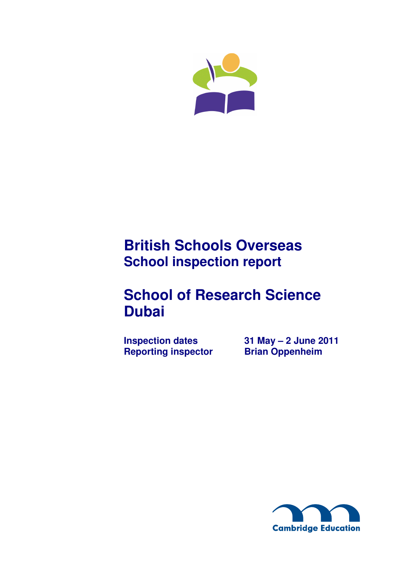

## **British Schools Overseas School inspection report**

# **School of Research Science Dubai**

**Reporting inspector** 

**Inspection dates 31 May – 2 June 2011<br>Reporting inspector Brian Oppenheim** 

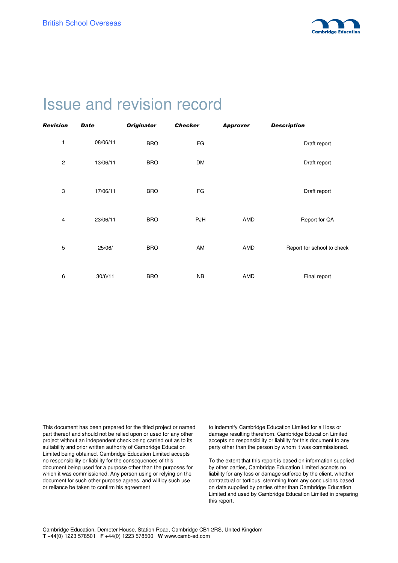

## Issue and revision record

| Revision       | <b>Date</b> | <b>Originator</b> | <b>Checker</b> | <b>Approver</b> | <b>Description</b>         |
|----------------|-------------|-------------------|----------------|-----------------|----------------------------|
| 1              | 08/06/11    | <b>BRO</b>        | FG             |                 | Draft report               |
| $\overline{c}$ | 13/06/11    | <b>BRO</b>        | <b>DM</b>      |                 | Draft report               |
| 3              | 17/06/11    | <b>BRO</b>        | FG             |                 | Draft report               |
| 4              | 23/06/11    | <b>BRO</b>        | <b>PJH</b>     | AMD             | Report for QA              |
| 5              | 25/06/      | <b>BRO</b>        | AM             | AMD             | Report for school to check |
| 6              | 30/6/11     | <b>BRO</b>        | <b>NB</b>      | AMD             | Final report               |

This document has been prepared for the titled project or named part thereof and should not be relied upon or used for any other project without an independent check being carried out as to its suitability and prior written authority of Cambridge Education Limited being obtained. Cambridge Education Limited accepts no responsibility or liability for the consequences of this document being used for a purpose other than the purposes for which it was commissioned. Any person using or relying on the document for such other purpose agrees, and will by such use or reliance be taken to confirm his agreement

to indemnify Cambridge Education Limited for all loss or damage resulting therefrom. Cambridge Education Limited accepts no responsibility or liability for this document to any party other than the person by whom it was commissioned.

To the extent that this report is based on information supplied by other parties, Cambridge Education Limited accepts no liability for any loss or damage suffered by the client, whether contractual or tortious, stemming from any conclusions based on data supplied by parties other than Cambridge Education Limited and used by Cambridge Education Limited in preparing this report.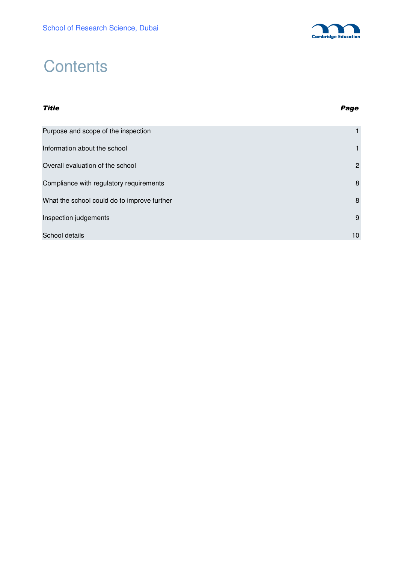

# **Contents**

## Title Page Purpose and scope of the inspection 1 and 1 and 1 and 1 and 1 and 1 and 1 and 1 and 1 and 1 and 1 and 1 and 1 and 1 and 1 and 1 and 1 and 1 and 1 and 1 and 1 and 1 and 1 and 1 and 1 and 1 and 1 and 1 and 1 and 1 and 1 and Information about the school 1 and 1 and 2 and 2 and 2 and 2 and 2 and 2 and 2 and 2 and 2 and 2 and 2 and 2 and 2 and 2 and 2 and 2 and 2 and 2 and 2 and 2 and 2 and 2 and 2 and 2 and 2 and 2 and 2 and 2 and 2 and 2 and 2 Overall evaluation of the school 2 Compliance with regulatory requirements **8** 8 What the school could do to improve further 8 and 8 and 8 and 8 and 8 and 8 and 8 and 8 and 8 and 8 and 8 and 8 and 8 and 8 and 8 and 8 and 8 and 8 and 8 and 8 and 8 and 8 and 8 and 8 and 8 and 8 and 8 and 8 and 8 and 8 an **Inspection judgements** 9 School details **10**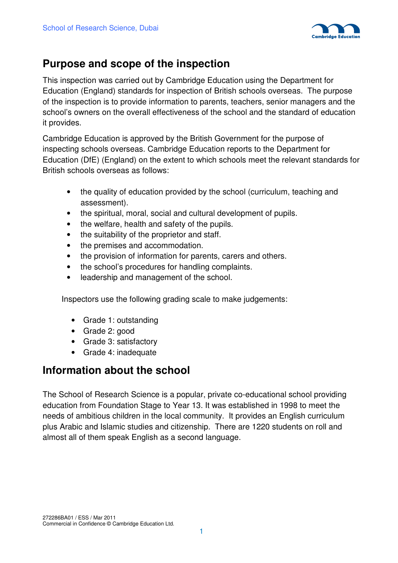

### **Purpose and scope of the inspection**

This inspection was carried out by Cambridge Education using the Department for Education (England) standards for inspection of British schools overseas. The purpose of the inspection is to provide information to parents, teachers, senior managers and the school's owners on the overall effectiveness of the school and the standard of education it provides.

Cambridge Education is approved by the British Government for the purpose of inspecting schools overseas. Cambridge Education reports to the Department for Education (DfE) (England) on the extent to which schools meet the relevant standards for British schools overseas as follows:

- the quality of education provided by the school (curriculum, teaching and assessment).
- the spiritual, moral, social and cultural development of pupils.
- the welfare, health and safety of the pupils.
- the suitability of the proprietor and staff.
- the premises and accommodation.
- the provision of information for parents, carers and others.
- the school's procedures for handling complaints.
- leadership and management of the school.

Inspectors use the following grading scale to make judgements:

- Grade 1: outstanding
- Grade 2: good
- Grade 3: satisfactory
- Grade 4: inadequate

### **Information about the school**

The School of Research Science is a popular, private co-educational school providing education from Foundation Stage to Year 13. It was established in 1998 to meet the needs of ambitious children in the local community. It provides an English curriculum plus Arabic and Islamic studies and citizenship. There are 1220 students on roll and almost all of them speak English as a second language.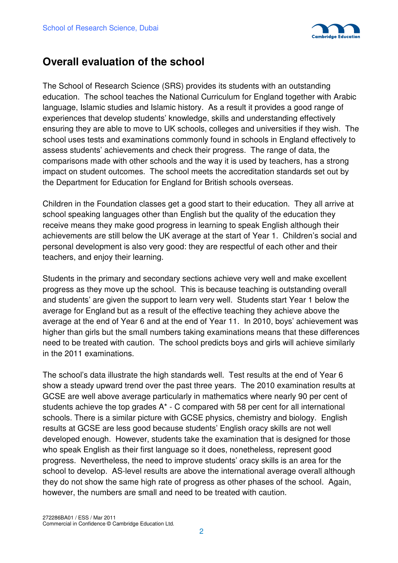

### **Overall evaluation of the school**

The School of Research Science (SRS) provides its students with an outstanding education. The school teaches the National Curriculum for England together with Arabic language, Islamic studies and Islamic history. As a result it provides a good range of experiences that develop students' knowledge, skills and understanding effectively ensuring they are able to move to UK schools, colleges and universities if they wish. The school uses tests and examinations commonly found in schools in England effectively to assess students' achievements and check their progress. The range of data, the comparisons made with other schools and the way it is used by teachers, has a strong impact on student outcomes. The school meets the accreditation standards set out by the Department for Education for England for British schools overseas.

Children in the Foundation classes get a good start to their education. They all arrive at school speaking languages other than English but the quality of the education they receive means they make good progress in learning to speak English although their achievements are still below the UK average at the start of Year 1. Children's social and personal development is also very good: they are respectful of each other and their teachers, and enjoy their learning.

Students in the primary and secondary sections achieve very well and make excellent progress as they move up the school. This is because teaching is outstanding overall and students' are given the support to learn very well. Students start Year 1 below the average for England but as a result of the effective teaching they achieve above the average at the end of Year 6 and at the end of Year 11. In 2010, boys' achievement was higher than girls but the small numbers taking examinations means that these differences need to be treated with caution. The school predicts boys and girls will achieve similarly in the 2011 examinations.

The school's data illustrate the high standards well. Test results at the end of Year 6 show a steady upward trend over the past three years. The 2010 examination results at GCSE are well above average particularly in mathematics where nearly 90 per cent of students achieve the top grades  $A^*$  - C compared with 58 per cent for all international schools. There is a similar picture with GCSE physics, chemistry and biology. English results at GCSE are less good because students' English oracy skills are not well developed enough. However, students take the examination that is designed for those who speak English as their first language so it does, nonetheless, represent good progress. Nevertheless, the need to improve students' oracy skills is an area for the school to develop. AS-level results are above the international average overall although they do not show the same high rate of progress as other phases of the school. Again, however, the numbers are small and need to be treated with caution.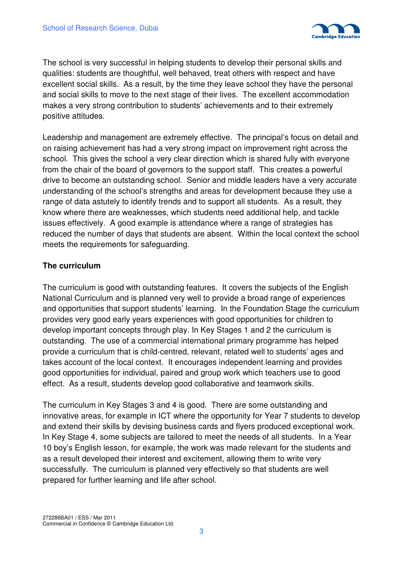

The school is very successful in helping students to develop their personal skills and qualities: students are thoughtful, well behaved, treat others with respect and have excellent social skills. As a result, by the time they leave school they have the personal and social skills to move to the next stage of their lives. The excellent accommodation makes a very strong contribution to students' achievements and to their extremely positive attitudes.

Leadership and management are extremely effective. The principal's focus on detail and on raising achievement has had a very strong impact on improvement right across the school. This gives the school a very clear direction which is shared fully with everyone from the chair of the board of governors to the support staff. This creates a powerful drive to become an outstanding school. Senior and middle leaders have a very accurate understanding of the school's strengths and areas for development because they use a range of data astutely to identify trends and to support all students. As a result, they know where there are weaknesses, which students need additional help, and tackle issues effectively. A good example is attendance where a range of strategies has reduced the number of days that students are absent. Within the local context the school meets the requirements for safeguarding.

#### **The curriculum**

The curriculum is good with outstanding features. It covers the subjects of the English National Curriculum and is planned very well to provide a broad range of experiences and opportunities that support students' learning. In the Foundation Stage the curriculum provides very good early years experiences with good opportunities for children to develop important concepts through play. In Key Stages 1 and 2 the curriculum is outstanding. The use of a commercial international primary programme has helped provide a curriculum that is child-centred, relevant, related well to students' ages and takes account of the local context. It encourages independent learning and provides good opportunities for individual, paired and group work which teachers use to good effect. As a result, students develop good collaborative and teamwork skills.

The curriculum in Key Stages 3 and 4 is good. There are some outstanding and innovative areas, for example in ICT where the opportunity for Year 7 students to develop and extend their skills by devising business cards and flyers produced exceptional work. In Key Stage 4, some subjects are tailored to meet the needs of all students. In a Year 10 boy's English lesson, for example, the work was made relevant for the students and as a result developed their interest and excitement, allowing them to write very successfully. The curriculum is planned very effectively so that students are well prepared for further learning and life after school.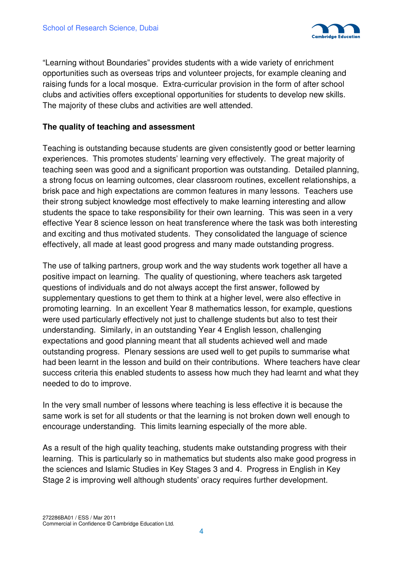

"Learning without Boundaries" provides students with a wide variety of enrichment opportunities such as overseas trips and volunteer projects, for example cleaning and raising funds for a local mosque. Extra-curricular provision in the form of after school clubs and activities offers exceptional opportunities for students to develop new skills. The majority of these clubs and activities are well attended.

#### **The quality of teaching and assessment**

Teaching is outstanding because students are given consistently good or better learning experiences. This promotes students' learning very effectively. The great majority of teaching seen was good and a significant proportion was outstanding. Detailed planning, a strong focus on learning outcomes, clear classroom routines, excellent relationships, a brisk pace and high expectations are common features in many lessons. Teachers use their strong subject knowledge most effectively to make learning interesting and allow students the space to take responsibility for their own learning. This was seen in a very effective Year 8 science lesson on heat transference where the task was both interesting and exciting and thus motivated students. They consolidated the language of science effectively, all made at least good progress and many made outstanding progress.

The use of talking partners, group work and the way students work together all have a positive impact on learning. The quality of questioning, where teachers ask targeted questions of individuals and do not always accept the first answer, followed by supplementary questions to get them to think at a higher level, were also effective in promoting learning. In an excellent Year 8 mathematics lesson, for example, questions were used particularly effectively not just to challenge students but also to test their understanding. Similarly, in an outstanding Year 4 English lesson, challenging expectations and good planning meant that all students achieved well and made outstanding progress. Plenary sessions are used well to get pupils to summarise what had been learnt in the lesson and build on their contributions. Where teachers have clear success criteria this enabled students to assess how much they had learnt and what they needed to do to improve.

In the very small number of lessons where teaching is less effective it is because the same work is set for all students or that the learning is not broken down well enough to encourage understanding. This limits learning especially of the more able.

As a result of the high quality teaching, students make outstanding progress with their learning. This is particularly so in mathematics but students also make good progress in the sciences and Islamic Studies in Key Stages 3 and 4. Progress in English in Key Stage 2 is improving well although students' oracy requires further development.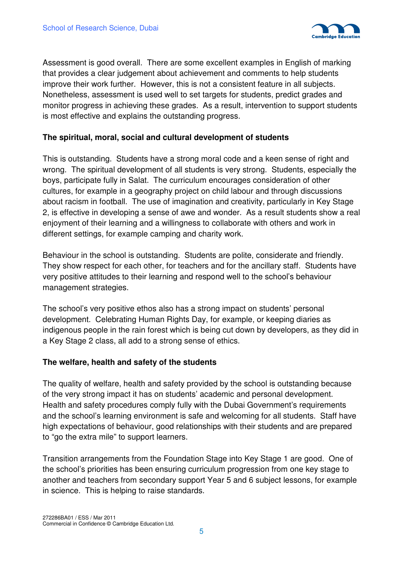

Assessment is good overall. There are some excellent examples in English of marking that provides a clear judgement about achievement and comments to help students improve their work further. However, this is not a consistent feature in all subjects. Nonetheless, assessment is used well to set targets for students, predict grades and monitor progress in achieving these grades. As a result, intervention to support students is most effective and explains the outstanding progress.

#### **The spiritual, moral, social and cultural development of students**

This is outstanding. Students have a strong moral code and a keen sense of right and wrong. The spiritual development of all students is very strong. Students, especially the boys, participate fully in Salat. The curriculum encourages consideration of other cultures, for example in a geography project on child labour and through discussions about racism in football. The use of imagination and creativity, particularly in Key Stage 2, is effective in developing a sense of awe and wonder. As a result students show a real enjoyment of their learning and a willingness to collaborate with others and work in different settings, for example camping and charity work.

Behaviour in the school is outstanding. Students are polite, considerate and friendly. They show respect for each other, for teachers and for the ancillary staff. Students have very positive attitudes to their learning and respond well to the school's behaviour management strategies.

The school's very positive ethos also has a strong impact on students' personal development. Celebrating Human Rights Day, for example, or keeping diaries as indigenous people in the rain forest which is being cut down by developers, as they did in a Key Stage 2 class, all add to a strong sense of ethics.

#### **The welfare, health and safety of the students**

The quality of welfare, health and safety provided by the school is outstanding because of the very strong impact it has on students' academic and personal development. Health and safety procedures comply fully with the Dubai Government's requirements and the school's learning environment is safe and welcoming for all students. Staff have high expectations of behaviour, good relationships with their students and are prepared to "go the extra mile" to support learners.

Transition arrangements from the Foundation Stage into Key Stage 1 are good. One of the school's priorities has been ensuring curriculum progression from one key stage to another and teachers from secondary support Year 5 and 6 subject lessons, for example in science. This is helping to raise standards.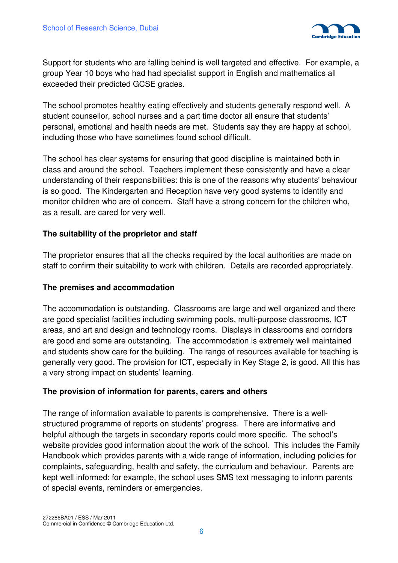

Support for students who are falling behind is well targeted and effective. For example, a group Year 10 boys who had had specialist support in English and mathematics all exceeded their predicted GCSE grades.

The school promotes healthy eating effectively and students generally respond well. A student counsellor, school nurses and a part time doctor all ensure that students' personal, emotional and health needs are met. Students say they are happy at school, including those who have sometimes found school difficult.

The school has clear systems for ensuring that good discipline is maintained both in class and around the school. Teachers implement these consistently and have a clear understanding of their responsibilities: this is one of the reasons why students' behaviour is so good. The Kindergarten and Reception have very good systems to identify and monitor children who are of concern. Staff have a strong concern for the children who, as a result, are cared for very well.

#### **The suitability of the proprietor and staff**

The proprietor ensures that all the checks required by the local authorities are made on staff to confirm their suitability to work with children. Details are recorded appropriately.

#### **The premises and accommodation**

The accommodation is outstanding. Classrooms are large and well organized and there are good specialist facilities including swimming pools, multi-purpose classrooms, ICT areas, and art and design and technology rooms. Displays in classrooms and corridors are good and some are outstanding. The accommodation is extremely well maintained and students show care for the building. The range of resources available for teaching is generally very good. The provision for ICT, especially in Key Stage 2, is good. All this has a very strong impact on students' learning.

#### **The provision of information for parents, carers and others**

The range of information available to parents is comprehensive. There is a wellstructured programme of reports on students' progress. There are informative and helpful although the targets in secondary reports could more specific. The school's website provides good information about the work of the school. This includes the Family Handbook which provides parents with a wide range of information, including policies for complaints, safeguarding, health and safety, the curriculum and behaviour. Parents are kept well informed: for example, the school uses SMS text messaging to inform parents of special events, reminders or emergencies.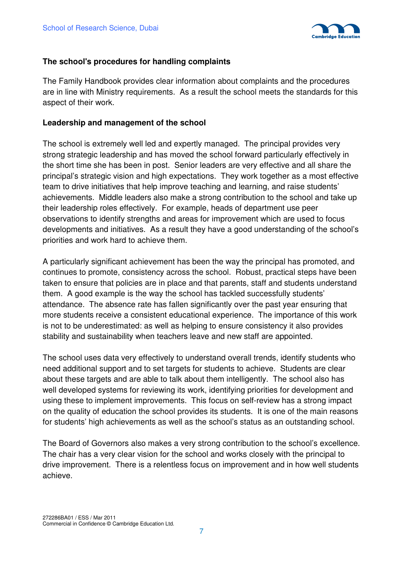

#### **The school's procedures for handling complaints**

The Family Handbook provides clear information about complaints and the procedures are in line with Ministry requirements. As a result the school meets the standards for this aspect of their work.

#### **Leadership and management of the school**

The school is extremely well led and expertly managed. The principal provides very strong strategic leadership and has moved the school forward particularly effectively in the short time she has been in post. Senior leaders are very effective and all share the principal's strategic vision and high expectations. They work together as a most effective team to drive initiatives that help improve teaching and learning, and raise students' achievements. Middle leaders also make a strong contribution to the school and take up their leadership roles effectively. For example, heads of department use peer observations to identify strengths and areas for improvement which are used to focus developments and initiatives. As a result they have a good understanding of the school's priorities and work hard to achieve them.

A particularly significant achievement has been the way the principal has promoted, and continues to promote, consistency across the school. Robust, practical steps have been taken to ensure that policies are in place and that parents, staff and students understand them. A good example is the way the school has tackled successfully students' attendance. The absence rate has fallen significantly over the past year ensuring that more students receive a consistent educational experience. The importance of this work is not to be underestimated: as well as helping to ensure consistency it also provides stability and sustainability when teachers leave and new staff are appointed.

The school uses data very effectively to understand overall trends, identify students who need additional support and to set targets for students to achieve. Students are clear about these targets and are able to talk about them intelligently. The school also has well developed systems for reviewing its work, identifying priorities for development and using these to implement improvements. This focus on self-review has a strong impact on the quality of education the school provides its students. It is one of the main reasons for students' high achievements as well as the school's status as an outstanding school.

The Board of Governors also makes a very strong contribution to the school's excellence. The chair has a very clear vision for the school and works closely with the principal to drive improvement. There is a relentless focus on improvement and in how well students achieve.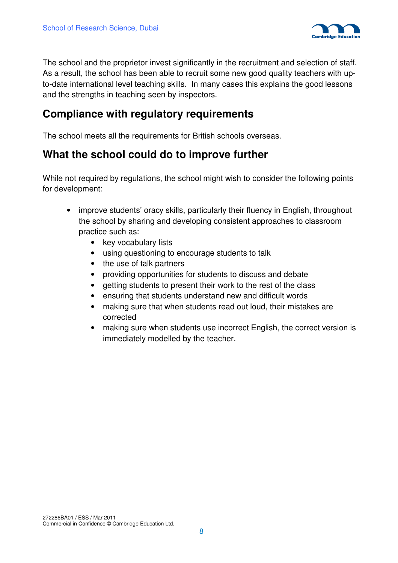

The school and the proprietor invest significantly in the recruitment and selection of staff. As a result, the school has been able to recruit some new good quality teachers with upto-date international level teaching skills. In many cases this explains the good lessons and the strengths in teaching seen by inspectors.

### **Compliance with regulatory requirements**

The school meets all the requirements for British schools overseas.

### **What the school could do to improve further**

While not required by regulations, the school might wish to consider the following points for development:

- improve students' oracy skills, particularly their fluency in English, throughout the school by sharing and developing consistent approaches to classroom practice such as:
	- key vocabulary lists
	- using questioning to encourage students to talk
	- the use of talk partners
	- providing opportunities for students to discuss and debate
	- getting students to present their work to the rest of the class
	- ensuring that students understand new and difficult words
	- making sure that when students read out loud, their mistakes are corrected
	- making sure when students use incorrect English, the correct version is immediately modelled by the teacher.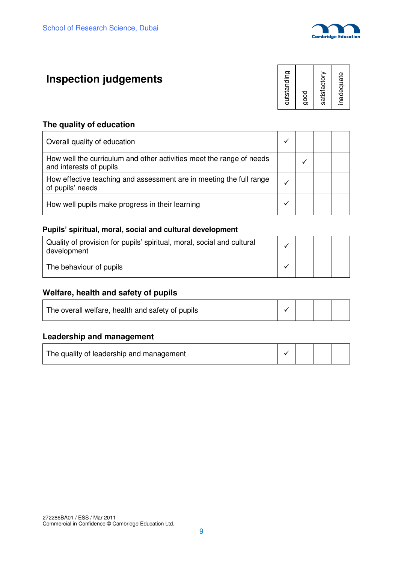

## **Inspection judgements**

| outstanding<br>good |  |
|---------------------|--|
| satisfactory        |  |
| inadequate          |  |

#### **The quality of education**

| Overall quality of education                                                                    |  |  |
|-------------------------------------------------------------------------------------------------|--|--|
| How well the curriculum and other activities meet the range of needs<br>and interests of pupils |  |  |
| How effective teaching and assessment are in meeting the full range<br>of pupils' needs         |  |  |
| How well pupils make progress in their learning                                                 |  |  |

#### **Pupils' spiritual, moral, social and cultural development**

| Quality of provision for pupils' spiritual, moral, social and cultural<br>development |  |  |
|---------------------------------------------------------------------------------------|--|--|
| The behaviour of pupils                                                               |  |  |

#### **Welfare, health and safety of pupils**

| The overall welfare, health and safety of pupils |  |  |
|--------------------------------------------------|--|--|
|                                                  |  |  |

#### **Leadership and management**

| The quality of leadership and management |  |  |
|------------------------------------------|--|--|
|                                          |  |  |